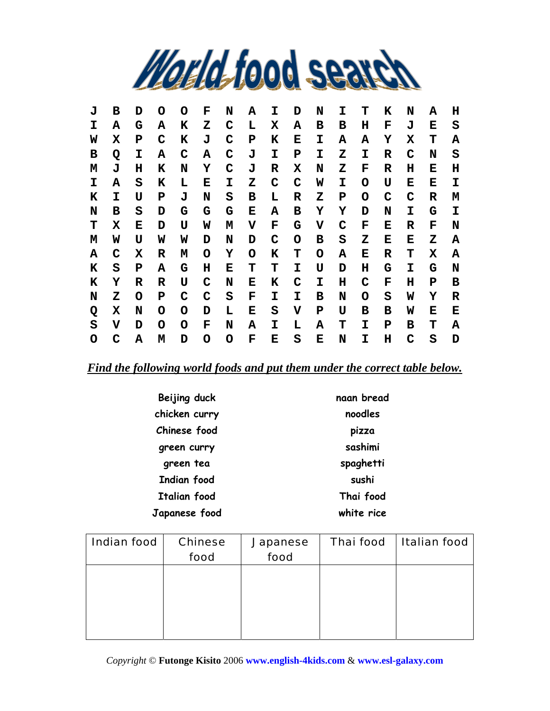

| J | в | D | O | O | F | N | А | I | D | N | I | т | к           | N           | А | н |
|---|---|---|---|---|---|---|---|---|---|---|---|---|-------------|-------------|---|---|
| I | Α | G | Α | K | Z | C | L | Х | A | в | в | н | F           | J           | Е | S |
| W | X | P | C | K | J | C | P | ĸ | Е | I | А | Α | Y           | X           | т | А |
| в | Q | I | Α | C | Α | C | J | I | P | I | z | I | R           | C           | N | S |
| М | J | н | K | N | Y | C | J | R | х | N | z | F | R           | н           | Е | н |
| I | Α | S | к | L | Е | I | z | C | C | W | I | O | U           | Е           | Е | I |
| K | I | U | P | J | N | S | в | L | R | Z | P | O | $\mathbf C$ | $\mathbf C$ | R | м |
| N | в | S | D | G | G | G | Е | Α | в | Y | Y | D | N           | I           | G | I |
| т | X | Е | D | U | W | Μ | V | F | G | v | C | F | Е           | R           | F | N |
| M | W | U | W | W | D | N | D | C | O | в | S | z | Е           | Е           | z | Α |
| Α | C | х | R | М | O | Υ | O | K | т | O | Α | Е | R           | т           | х | Α |
| K | S | P | А | G | н | Е | т | т | I | U | D | н | G           | I           | G | N |
| K | Y | R | R | U | C | N | Е | K | C | I | н | C | F           | н           | P | в |
| N | Z | O | P | C | C | S | F | I | I | в | N | O | S           | W           | Y | R |
| Q | X | N | O | O | D | L | Е | S | v | Р | U | в | в           | W           | Е | Е |
| S | v | D | O | O | F | N | Α | I | L | A | т | I | P           | в           | т | А |
| O | C | Α | М | D | O | O | F | Е | S | Е | N | I | н           | C           | S | D |

*Find the following world foods and put them under the correct table below.*

| Beijing duck        | naan bread |
|---------------------|------------|
| chicken curry       | noodles    |
| Chinese food        | pizza      |
| green curry         | sashimi    |
| green tea           | spaghetti  |
| Indian food         | sushi      |
| <b>Italian food</b> | Thai food  |
| Japanese food       | white rice |

| <b>Indian food</b> | <b>Chinese</b> | <b>Japanese</b> | <b>Thai food</b> | <b>Italian food</b> |
|--------------------|----------------|-----------------|------------------|---------------------|
|                    | food           | food            |                  |                     |
|                    |                |                 |                  |                     |
|                    |                |                 |                  |                     |
|                    |                |                 |                  |                     |
|                    |                |                 |                  |                     |
|                    |                |                 |                  |                     |